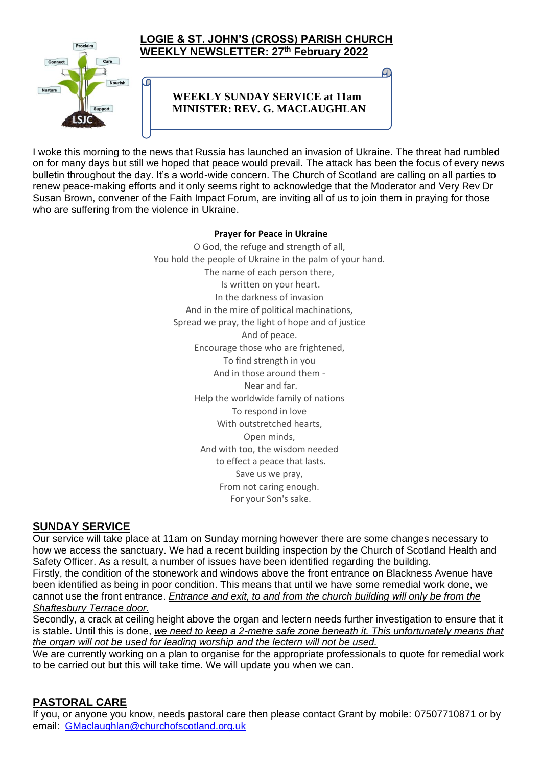

C

### **LOGIE & ST. JOHN'S (CROSS) PARISH CHURCH WEEKLY NEWSLETTER: 27 th February 2022**

# **WEEKLY SUNDAY SERVICE at 11am MINISTER: REV. G. MACLAUGHLAN**

I woke this morning to the news that Russia has launched an invasion of Ukraine. The threat had rumbled on for many days but still we hoped that peace would prevail. The attack has been the focus of every news bulletin throughout the day. It's a world-wide concern. The Church of Scotland are calling on all parties to renew peace-making efforts and it only seems right to acknowledge that the Moderator and Very Rev Dr Susan Brown, convener of the Faith Impact Forum, are inviting all of us to join them in praying for those who are suffering from the violence in Ukraine.

#### **Prayer for Peace in Ukraine**

O God, the refuge and strength of all, You hold the people of Ukraine in the palm of your hand. The name of each person there, Is written on your heart. In the darkness of invasion And in the mire of political machinations, Spread we pray, the light of hope and of justice And of peace. Encourage those who are frightened, To find strength in you And in those around them - Near and far. Help the worldwide family of nations To respond in love With outstretched hearts, Open minds, And with too, the wisdom needed to effect a peace that lasts. Save us we pray, From not caring enough. For your Son's sake.

# **SUNDAY SERVICE**

Our service will take place at 11am on Sunday morning however there are some changes necessary to how we access the sanctuary. We had a recent building inspection by the Church of Scotland Health and Safety Officer. As a result, a number of issues have been identified regarding the building. Firstly, the condition of the stonework and windows above the front entrance on Blackness Avenue have been identified as being in poor condition. This means that until we have some remedial work done, we cannot use the front entrance. *Entrance and exit, to and from the church building will only be from the Shaftesbury Terrace door.*

Secondly, a crack at ceiling height above the organ and lectern needs further investigation to ensure that it is stable. Until this is done, *we need to keep a 2-metre safe zone beneath it. This unfortunately means that the organ will not be used for leading worship and the lectern will not be used.*

We are currently working on a plan to organise for the appropriate professionals to quote for remedial work to be carried out but this will take time. We will update you when we can.

# **PASTORAL CARE**

If you, or anyone you know, needs pastoral care then please contact Grant by mobile: 07507710871 or by email: [GMaclaughlan@churchofscotland.org.uk](mailto:GMaclaughlan@churchofscotland.org.uk)